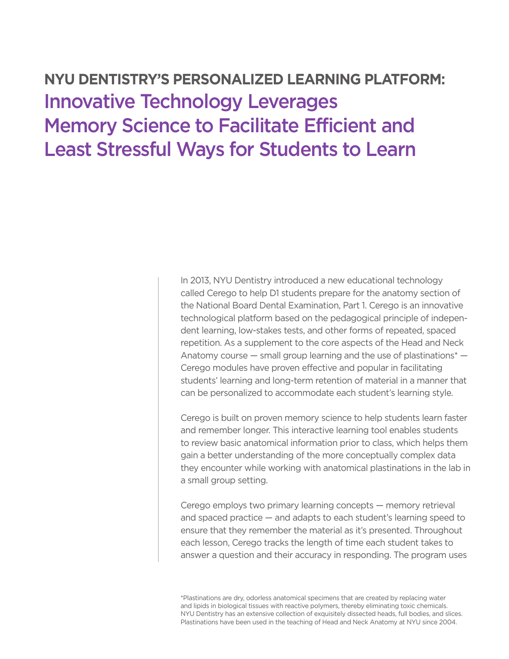## **NYU DENTISTRY'S PERSONALIZED LEARNING PLATFORM:**  Innovative Technology Leverages Memory Science to Facilitate Efficient and Least Stressful Ways for Students to Learn

In 2013, NYU Dentistry introduced a new educational technology called Cerego to help D1 students prepare for the anatomy section of the National Board Dental Examination, Part 1. Cerego is an innovative technological platform based on the pedagogical principle of independent learning, low-stakes tests, and other forms of repeated, spaced repetition. As a supplement to the core aspects of the Head and Neck Anatomy course  $-$  small group learning and the use of plastinations<sup>\*</sup>  $-$ Cerego modules have proven effective and popular in facilitating students' learning and long-term retention of material in a manner that can be personalized to accommodate each student's learning style.

Cerego is built on proven memory science to help students learn faster and remember longer. This interactive learning tool enables students to review basic anatomical information prior to class, which helps them gain a better understanding of the more conceptually complex data they encounter while working with anatomical plastinations in the lab in a small group setting.

Cerego employs two primary learning concepts — memory retrieval and spaced practice — and adapts to each student's learning speed to ensure that they remember the material as it's presented. Throughout each lesson, Cerego tracks the length of time each student takes to answer a question and their accuracy in responding. The program uses

\*Plastinations are dry, odorless anatomical specimens that are created by replacing water and lipids in biological tissues with reactive polymers, thereby eliminating toxic chemicals. NYU Dentistry has an extensive collection of exquisitely dissected heads, full bodies, and slices. Plastinations have been used in the teaching of Head and Neck Anatomy at NYU since 2004.